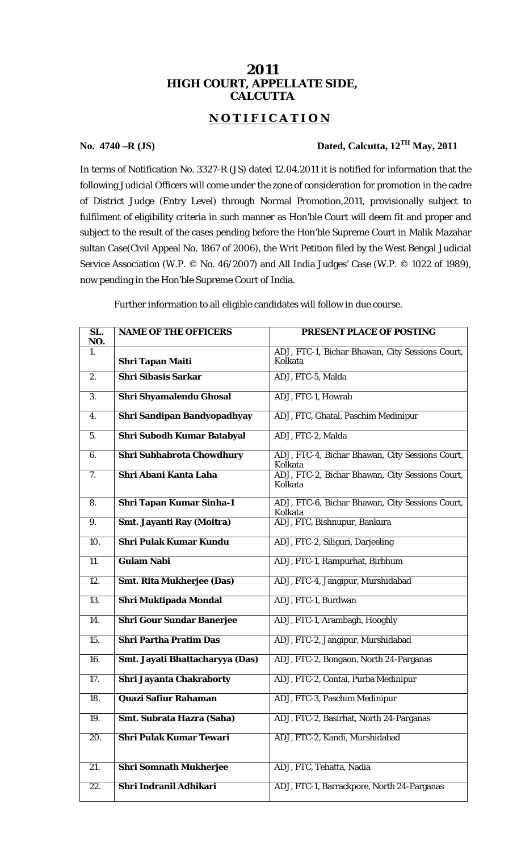## **2011 HIGH COURT, APPELLATE SIDE, CALCUTTA**

## **N O T I F I C A T I O N**

## **No. 4740 –R (JS) Dated, Calcutta, 12TH May, 2011**

In terms of Notification No. 3327-R (JS) dated 12.04.2011 it is notified for information that the following Judicial Officers will come under the zone of consideration for promotion in the cadre of District Judge (Entry Level) through Normal Promotion,2011, provisionally subject to fulfilment of eligibility criteria in such manner as Hon'ble Court will deem fit and proper and subject to the result of the cases pending before the Hon'ble Supreme Court in Malik Mazahar sultan Case(Civil Appeal No. 1867 of 2006), the Writ Petition filed by the West Bengal Judicial Service Association (W.P.  $\oslash$  No. 46/2007) and All India Judges' Case (W.P.  $\oslash$  1022 of 1989), now pending in the Hon'ble Supreme Court of India.

Further information to all eligible candidates will follow in due course.

| $\overline{SL.}$<br>NO. | <b>NAME OF THE OFFICERS</b>       | <b>PRESENT PLACE OF POSTING</b>                            |
|-------------------------|-----------------------------------|------------------------------------------------------------|
| 1.                      | <b>Shri Tapan Maiti</b>           | ADJ, FTC-1, Bichar Bhawan, City Sessions Court,<br>Kolkata |
| 2.                      | <b>Shri Sibasis Sarkar</b>        | ADJ, FTC-5, Malda                                          |
| 3.                      | Shri Shyamalendu Ghosal           | ADJ, FTC-1, Howrah                                         |
| 4.                      | Shri Sandipan Bandyopadhyay       | ADJ, FTC, Ghatal, Paschim Medinipur                        |
| 5.                      | <b>Shri Subodh Kumar Batabyal</b> | ADJ, FTC-2, Malda                                          |
| 6.                      | Shri Subhabrota Chowdhury         | ADJ, FTC-4, Bichar Bhawan, City Sessions Court,<br>Kolkata |
| 7.                      | Shri Abani Kanta Laha             | ADJ, FTC-2, Bichar Bhawan, City Sessions Court,<br>Kolkata |
| 8.                      | <b>Shri Tapan Kumar Sinha-1</b>   | ADJ, FTC-6, Bichar Bhawan, City Sessions Court,<br>Kolkata |
| 9.                      | Smt. Jayanti Ray (Moitra)         | ADJ, FTC, Bishnupur, Bankura                               |
| 10.                     | <b>Shri Pulak Kumar Kundu</b>     | ADJ, FTC-2, Siliguri, Darjeeling                           |
| $\overline{11}$ .       | <b>Gulam Nabi</b>                 | ADJ, FTC-1, Rampurhat, Birbhum                             |
| 12.                     | <b>Smt. Rita Mukherjee (Das)</b>  | ADJ, FTC-4, Jangipur, Murshidabad                          |
| $\overline{13}$ .       | Shri Muktipada Mondal             | ADJ, FTC-1, Burdwan                                        |
| $\overline{14}$ .       | <b>Shri Gour Sundar Banerjee</b>  | ADJ, FTC-1, Arambagh, Hooghly                              |
| 15.                     | <b>Shri Partha Pratim Das</b>     | ADJ, FTC-2, Jangipur, Murshidabad                          |
| 16.                     | Smt. Jayati Bhattacharyya (Das)   | ADJ, FTC-2, Bongaon, North 24-Parganas                     |
| 17.                     | <b>Shri Jayanta Chakraborty</b>   | ADJ, FTC-2, Contai, Purba Medinipur                        |
| 18.                     | <b>Quazi Safiur Rahaman</b>       | ADJ, FTC-3, Paschim Medinipur                              |
| 19.                     | Smt. Subrata Hazra (Saha)         | ADJ, FTC-2, Basirhat, North 24-Parganas                    |
| 20.                     | <b>Shri Pulak Kumar Tewari</b>    | ADJ, FTC-2, Kandi, Murshidabad                             |
| 21.                     | <b>Shri Somnath Mukherjee</b>     | ADJ, FTC, Tehatta, Nadia                                   |
| 22.                     | Shri Indranil Adhikari            | ADJ, FTC-1, Barrackpore, North 24-Parganas                 |